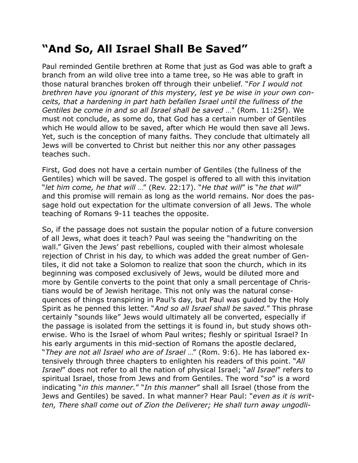## **"And So, All Israel Shall Be Saved"**

Paul reminded Gentile brethren at Rome that just as God was able to graft a branch from an wild olive tree into a tame tree, so He was able to graft in those natural branches broken off through their unbelief. "*For I would not brethren have you ignorant of this mystery, lest ye be wise in your own conceits, that a hardening in part hath befallen Israel until the fullness of the Gentiles be come in and so all Israel shall be saved* …" (Rom. 11:25f). We must not conclude, as some do, that God has a certain number of Gentiles which He would allow to be saved, after which He would then save all Jews. Yet, such is the conception of many faiths. They conclude that ultimately all Jews will be converted to Christ but neither this nor any other passages teaches such.

First, God does not have a certain number of Gentiles (the fullness of the Gentiles) which will be saved. The gospel is offered to all with this invitation "*let him come, he that will* …" (Rev. 22:17). "*He that will*" is "*he that will*" and this promise will remain as long as the world remains. Nor does the passage hold out expectation for the ultimate conversion of all Jews. The whole teaching of Romans 9-11 teaches the opposite.

So, if the passage does not sustain the popular notion of a future conversion of all Jews, what does it teach? Paul was seeing the "handwriting on the wall." Given the Jews' past rebellions, coupled with their almost wholesale rejection of Christ in his day, to which was added the great number of Gentiles, it did not take a Solomon to realize that soon the church, which in its beginning was composed exclusively of Jews, would be diluted more and more by Gentile converts to the point that only a small percentage of Christians would be of Jewish heritage. This not only was the natural consequences of things transpiring in Paul's day, but Paul was guided by the Holy Spirit as he penned this letter. "*And so all Israel shall be saved.*" This phrase certainly "sounds like" Jews would ultimately all be converted, especially if the passage is isolated from the settings it is found in, but study shows otherwise. Who is the Israel of whom Paul writes; fleshly or spiritual Israel? In his early arguments in this mid-section of Romans the apostle declared, "*They are not all Israel who are of Israel* …" (Rom. 9:6). He has labored extensively through three chapters to enlighten his readers of this point. "*All Israel*" does not refer to all the nation of physical Israel; "*all Israel*" refers to spiritual Israel, those from Jews and from Gentiles. The word "*so*" is a word indicating "*in this manner.*" "*In this manner*" shall all Israel (those from the Jews and Gentiles) be saved. In what manner? Hear Paul: "*even as it is written, There shall come out of Zion the Deliverer; He shall turn away ungodli-*